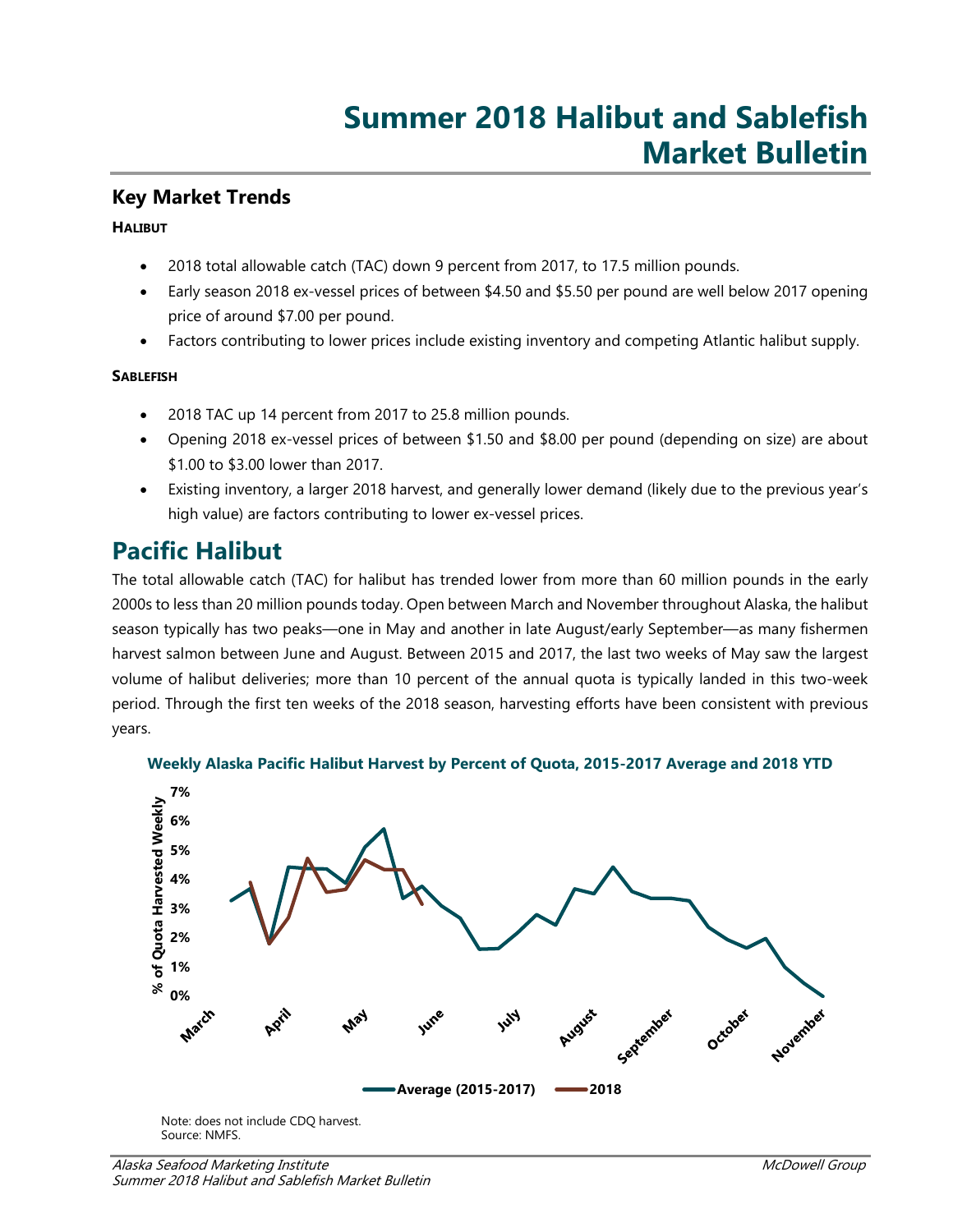## **Key Market Trends**

### **HALIBUT**

- 2018 total allowable catch (TAC) down 9 percent from 2017, to 17.5 million pounds.
- Early season 2018 ex-vessel prices of between \$4.50 and \$5.50 per pound are well below 2017 opening price of around \$7.00 per pound.
- Factors contributing to lower prices include existing inventory and competing Atlantic halibut supply.

## **SABLEFISH**

- 2018 TAC up 14 percent from 2017 to 25.8 million pounds.
- Opening 2018 ex-vessel prices of between \$1.50 and \$8.00 per pound (depending on size) are about \$1.00 to \$3.00 lower than 2017.
- Existing inventory, a larger 2018 harvest, and generally lower demand (likely due to the previous year's high value) are factors contributing to lower ex-vessel prices.

# **Pacific Halibut**

The total allowable catch (TAC) for halibut has trended lower from more than 60 million pounds in the early 2000s to less than 20 million pounds today. Open between March and November throughout Alaska, the halibut season typically has two peaks—one in May and another in late August/early September—as many fishermen harvest salmon between June and August. Between 2015 and 2017, the last two weeks of May saw the largest volume of halibut deliveries; more than 10 percent of the annual quota is typically landed in this two-week period. Through the first ten weeks of the 2018 season, harvesting efforts have been consistent with previous years.



### **Weekly Alaska Pacific Halibut Harvest by Percent of Quota, 2015-2017 Average and 2018 YTD**

Note: does not include CDQ harvest. Source: NMFS.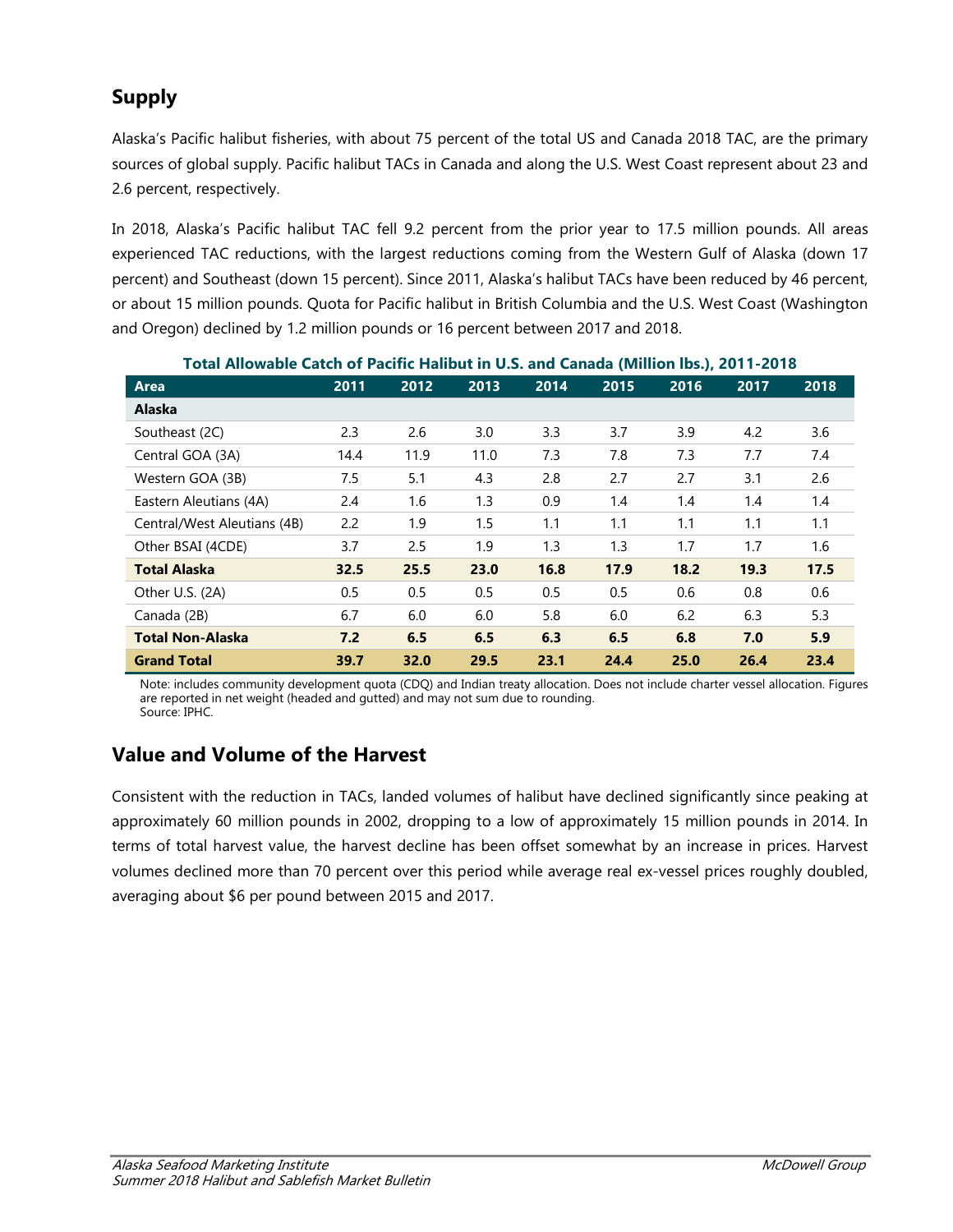# **Supply**

Alaska's Pacific halibut fisheries, with about 75 percent of the total US and Canada 2018 TAC, are the primary sources of global supply. Pacific halibut TACs in Canada and along the U.S. West Coast represent about 23 and 2.6 percent, respectively.

In 2018, Alaska's Pacific halibut TAC fell 9.2 percent from the prior year to 17.5 million pounds. All areas experienced TAC reductions, with the largest reductions coming from the Western Gulf of Alaska (down 17 percent) and Southeast (down 15 percent). Since 2011, Alaska's halibut TACs have been reduced by 46 percent, or about 15 million pounds. Quota for Pacific halibut in British Columbia and the U.S. West Coast (Washington and Oregon) declined by 1.2 million pounds or 16 percent between 2017 and 2018.

| TUGH ANUWADIC CAREN UT FACHIC HANDUL IN U.S. ANU CANAUA (WINNUM 193.), ZUT T-ZUTO<br><b>Area</b> | 2011 | 2012 | 2013 | 2014 | 2015 | 2016 | 2017 | 2018 |
|--------------------------------------------------------------------------------------------------|------|------|------|------|------|------|------|------|
|                                                                                                  |      |      |      |      |      |      |      |      |
| Alaska                                                                                           |      |      |      |      |      |      |      |      |
| Southeast (2C)                                                                                   | 2.3  | 2.6  | 3.0  | 3.3  | 3.7  | 3.9  | 4.2  | 3.6  |
| Central GOA (3A)                                                                                 | 14.4 | 11.9 | 11.0 | 7.3  | 7.8  | 7.3  | 7.7  | 7.4  |
| Western GOA (3B)                                                                                 | 7.5  | 5.1  | 4.3  | 2.8  | 2.7  | 2.7  | 3.1  | 2.6  |
| Eastern Aleutians (4A)                                                                           | 2.4  | 1.6  | 1.3  | 0.9  | 1.4  | 1.4  | 1.4  | 1.4  |
| Central/West Aleutians (4B)                                                                      | 2.2  | 1.9  | 1.5  | 1.1  | 1.1  | 1.1  | 1.1  | 1.1  |
| Other BSAI (4CDE)                                                                                | 3.7  | 2.5  | 1.9  | 1.3  | 1.3  | 1.7  | 1.7  | 1.6  |
| <b>Total Alaska</b>                                                                              | 32.5 | 25.5 | 23.0 | 16.8 | 17.9 | 18.2 | 19.3 | 17.5 |
| Other U.S. (2A)                                                                                  | 0.5  | 0.5  | 0.5  | 0.5  | 0.5  | 0.6  | 0.8  | 0.6  |
| Canada (2B)                                                                                      | 6.7  | 6.0  | 6.0  | 5.8  | 6.0  | 6.2  | 6.3  | 5.3  |
| <b>Total Non-Alaska</b>                                                                          | 7.2  | 6.5  | 6.5  | 6.3  | 6.5  | 6.8  | 7.0  | 5.9  |
| <b>Grand Total</b>                                                                               | 39.7 | 32.0 | 29.5 | 23.1 | 24.4 | 25.0 | 26.4 | 23.4 |

**Total Allowable Catch of Pacific Halibut in U.S. and Canada (Million lbs.), 2011-2018**

Note: includes community development quota (CDQ) and Indian treaty allocation. Does not include charter vessel allocation. Figures are reported in net weight (headed and gutted) and may not sum due to rounding. Source: IPHC.

## **Value and Volume of the Harvest**

Consistent with the reduction in TACs, landed volumes of halibut have declined significantly since peaking at approximately 60 million pounds in 2002, dropping to a low of approximately 15 million pounds in 2014. In terms of total harvest value, the harvest decline has been offset somewhat by an increase in prices. Harvest volumes declined more than 70 percent over this period while average real ex-vessel prices roughly doubled, averaging about \$6 per pound between 2015 and 2017.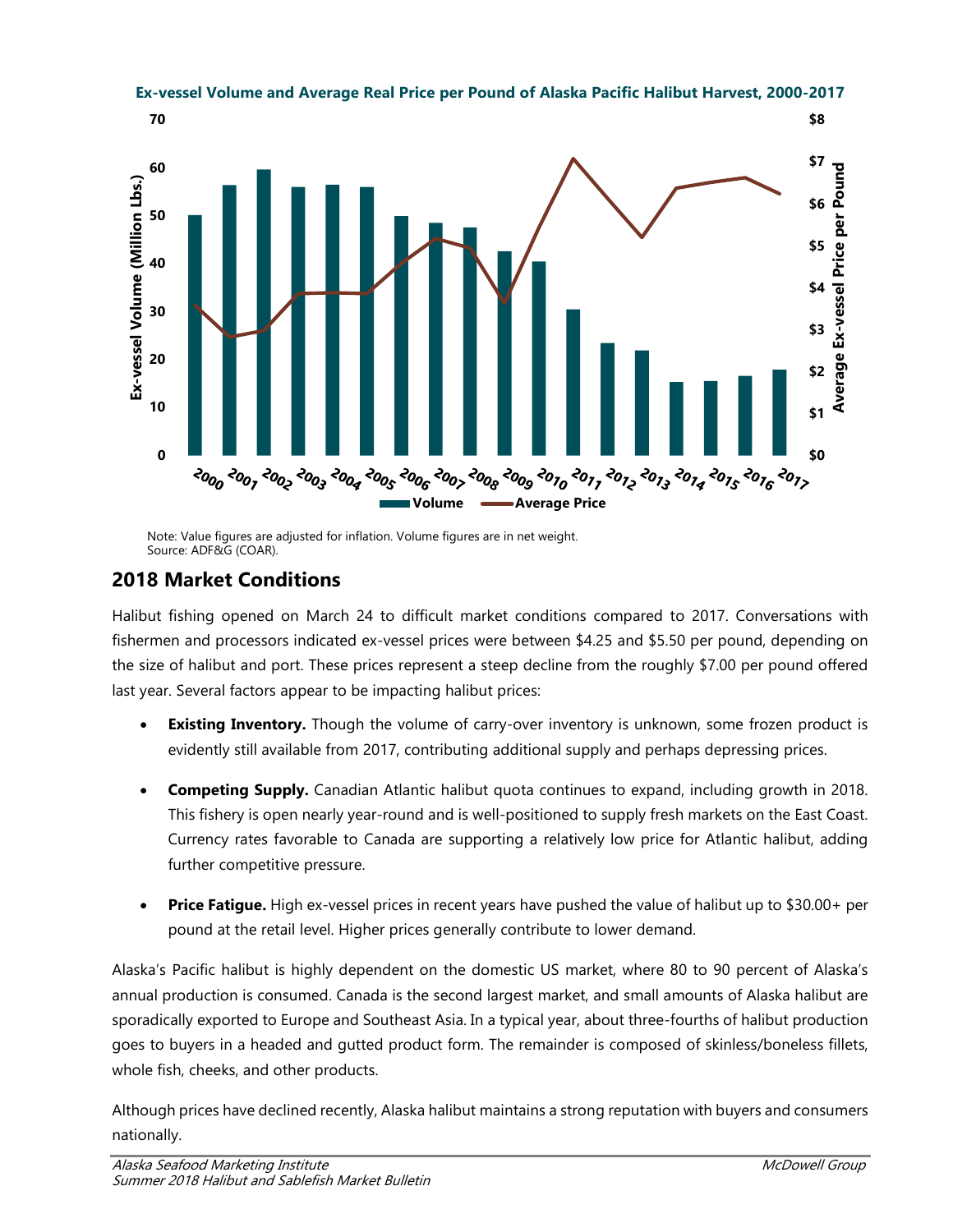

Note: Value figures are adjusted for inflation. Volume figures are in net weight. Source: ADF&G (COAR).

# **2018 Market Conditions**

Halibut fishing opened on March 24 to difficult market conditions compared to 2017. Conversations with fishermen and processors indicated ex-vessel prices were between \$4.25 and \$5.50 per pound, depending on the size of halibut and port. These prices represent a steep decline from the roughly \$7.00 per pound offered last year. Several factors appear to be impacting halibut prices:

- **Existing Inventory.** Though the volume of carry-over inventory is unknown, some frozen product is evidently still available from 2017, contributing additional supply and perhaps depressing prices.
- **Competing Supply.** Canadian Atlantic halibut quota continues to expand, including growth in 2018. This fishery is open nearly year-round and is well-positioned to supply fresh markets on the East Coast. Currency rates favorable to Canada are supporting a relatively low price for Atlantic halibut, adding further competitive pressure.
- **Price Fatigue.** High ex-vessel prices in recent years have pushed the value of halibut up to \$30.00+ per pound at the retail level. Higher prices generally contribute to lower demand.

Alaska's Pacific halibut is highly dependent on the domestic US market, where 80 to 90 percent of Alaska's annual production is consumed. Canada is the second largest market, and small amounts of Alaska halibut are sporadically exported to Europe and Southeast Asia. In a typical year, about three-fourths of halibut production goes to buyers in a headed and gutted product form. The remainder is composed of skinless/boneless fillets, whole fish, cheeks, and other products.

Although prices have declined recently, Alaska halibut maintains a strong reputation with buyers and consumers nationally.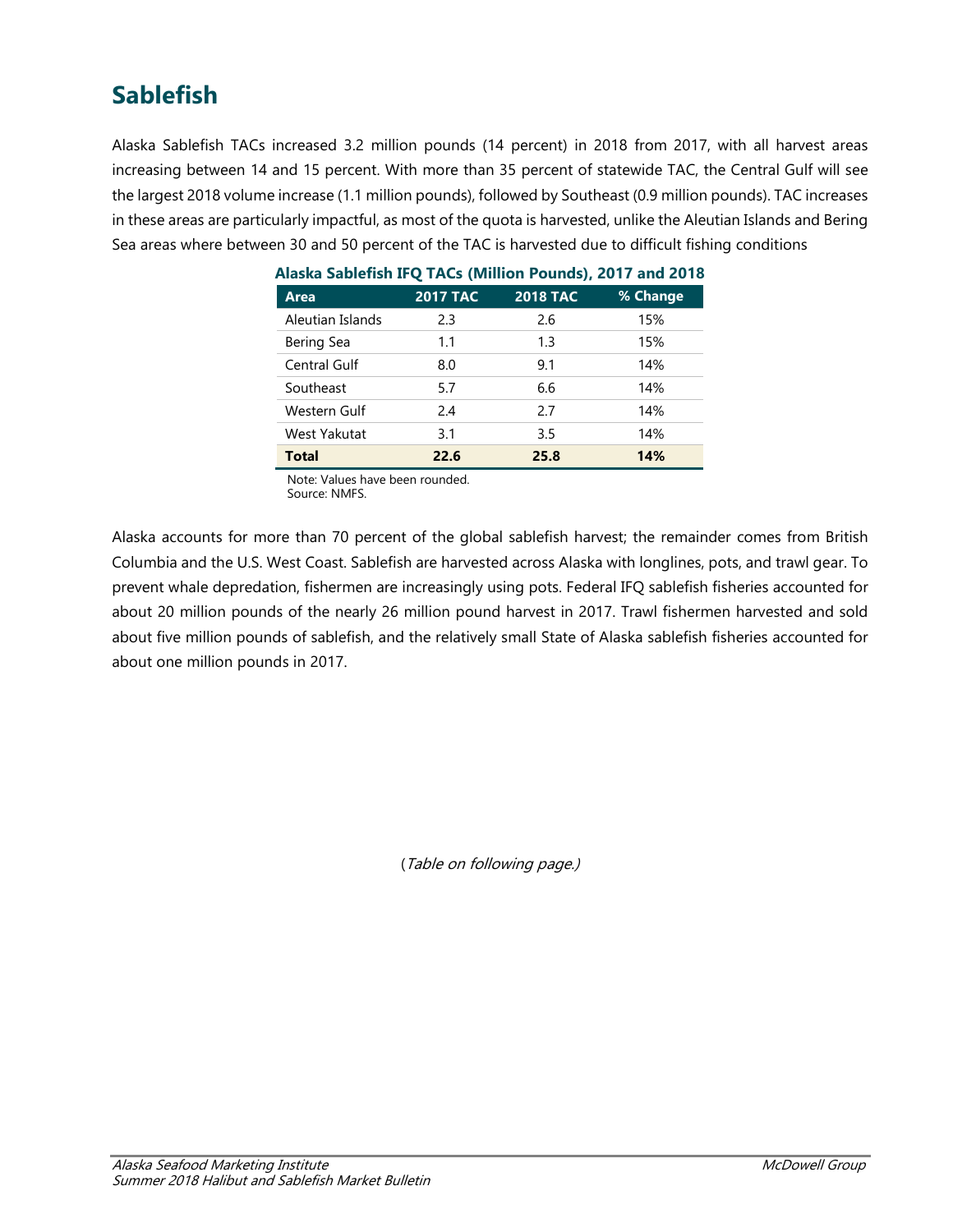# **Sablefish**

Alaska Sablefish TACs increased 3.2 million pounds (14 percent) in 2018 from 2017, with all harvest areas increasing between 14 and 15 percent. With more than 35 percent of statewide TAC, the Central Gulf will see the largest 2018 volume increase (1.1 million pounds), followed by Southeast (0.9 million pounds). TAC increases in these areas are particularly impactful, as most of the quota is harvested, unlike the Aleutian Islands and Bering Sea areas where between 30 and 50 percent of the TAC is harvested due to difficult fishing conditions

| Alaska Sabiciish II Q TAGS (Million Tourlas), ZV T7 and ZV T0 |                 |                 |          |
|---------------------------------------------------------------|-----------------|-----------------|----------|
| <b>Area</b>                                                   | <b>2017 TAC</b> | <b>2018 TAC</b> | % Change |
| Aleutian Islands                                              | 2.3             | 2.6             | 15%      |
| <b>Bering Sea</b>                                             | 1.1             | 1.3             | 15%      |
| <b>Central Gulf</b>                                           | 8.0             | 9.1             | 14%      |
| Southeast                                                     | 5.7             | 6.6             | 14%      |
| Western Gulf                                                  | 2.4             | 2.7             | 14%      |
| West Yakutat                                                  | 3.1             | 3.5             | 14%      |
| <b>Total</b>                                                  | 22.6            | 25.8            | 14%      |

## **Alaska Sablefish IFQ TACs (Million Pounds), 2017 and 2018**

Note: Values have been rounded.

Source: NMFS.

Alaska accounts for more than 70 percent of the global sablefish harvest; the remainder comes from British Columbia and the U.S. West Coast. Sablefish are harvested across Alaska with longlines, pots, and trawl gear. To prevent whale depredation, fishermen are increasingly using pots. Federal IFQ sablefish fisheries accounted for about 20 million pounds of the nearly 26 million pound harvest in 2017. Trawl fishermen harvested and sold about five million pounds of sablefish, and the relatively small State of Alaska sablefish fisheries accounted for about one million pounds in 2017.

(Table on following page.)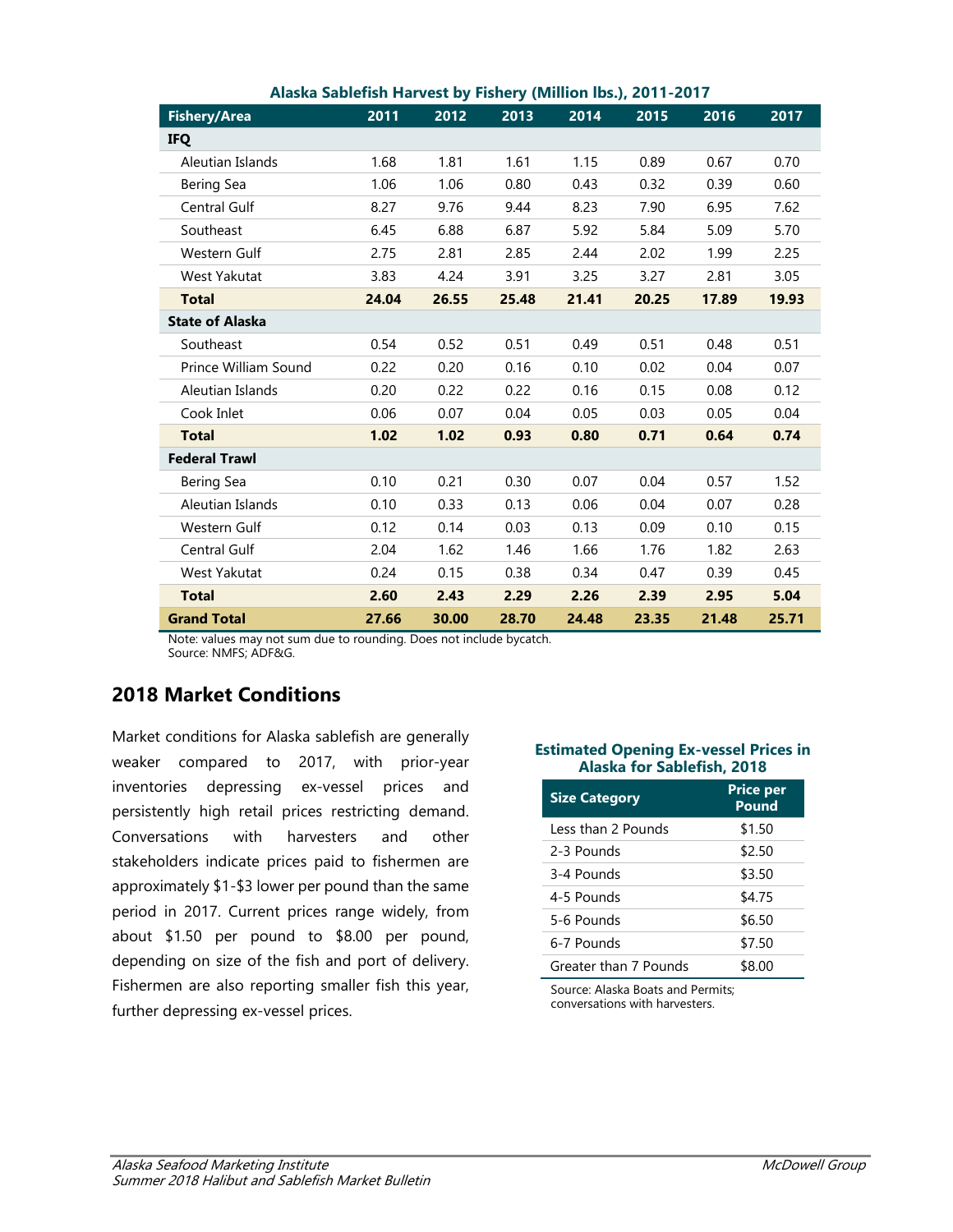|                        | <b>Alaska Japichsh Harvest by Histici y (Willion 195.), ZV FT-ZV H</b> |       |       |       |       |       |       |
|------------------------|------------------------------------------------------------------------|-------|-------|-------|-------|-------|-------|
| <b>Fishery/Area</b>    | 2011                                                                   | 2012  | 2013  | 2014  | 2015  | 2016  | 2017  |
| <b>IFQ</b>             |                                                                        |       |       |       |       |       |       |
| Aleutian Islands       | 1.68                                                                   | 1.81  | 1.61  | 1.15  | 0.89  | 0.67  | 0.70  |
| <b>Bering Sea</b>      | 1.06                                                                   | 1.06  | 0.80  | 0.43  | 0.32  | 0.39  | 0.60  |
| Central Gulf           | 8.27                                                                   | 9.76  | 9.44  | 8.23  | 7.90  | 6.95  | 7.62  |
| Southeast              | 6.45                                                                   | 6.88  | 6.87  | 5.92  | 5.84  | 5.09  | 5.70  |
| Western Gulf           | 2.75                                                                   | 2.81  | 2.85  | 2.44  | 2.02  | 1.99  | 2.25  |
| West Yakutat           | 3.83                                                                   | 4.24  | 3.91  | 3.25  | 3.27  | 2.81  | 3.05  |
| <b>Total</b>           | 24.04                                                                  | 26.55 | 25.48 | 21.41 | 20.25 | 17.89 | 19.93 |
| <b>State of Alaska</b> |                                                                        |       |       |       |       |       |       |
| Southeast              | 0.54                                                                   | 0.52  | 0.51  | 0.49  | 0.51  | 0.48  | 0.51  |
| Prince William Sound   | 0.22                                                                   | 0.20  | 0.16  | 0.10  | 0.02  | 0.04  | 0.07  |
| Aleutian Islands       | 0.20                                                                   | 0.22  | 0.22  | 0.16  | 0.15  | 0.08  | 0.12  |
| Cook Inlet             | 0.06                                                                   | 0.07  | 0.04  | 0.05  | 0.03  | 0.05  | 0.04  |
| <b>Total</b>           | 1.02                                                                   | 1.02  | 0.93  | 0.80  | 0.71  | 0.64  | 0.74  |
| <b>Federal Trawl</b>   |                                                                        |       |       |       |       |       |       |
| <b>Bering Sea</b>      | 0.10                                                                   | 0.21  | 0.30  | 0.07  | 0.04  | 0.57  | 1.52  |
| Aleutian Islands       | 0.10                                                                   | 0.33  | 0.13  | 0.06  | 0.04  | 0.07  | 0.28  |
| Western Gulf           | 0.12                                                                   | 0.14  | 0.03  | 0.13  | 0.09  | 0.10  | 0.15  |
| Central Gulf           | 2.04                                                                   | 1.62  | 1.46  | 1.66  | 1.76  | 1.82  | 2.63  |
| West Yakutat           | 0.24                                                                   | 0.15  | 0.38  | 0.34  | 0.47  | 0.39  | 0.45  |
| <b>Total</b>           | 2.60                                                                   | 2.43  | 2.29  | 2.26  | 2.39  | 2.95  | 5.04  |
| <b>Grand Total</b>     | 27.66                                                                  | 30.00 | 28.70 | 24.48 | 23.35 | 21.48 | 25.71 |

### **Alaska Sablefish Harvest by Fishery (Million lbs.), 2011-2017**

Note: values may not sum due to rounding. Does not include bycatch. Source: NMFS; ADF&G.

## **2018 Market Conditions**

Market conditions for Alaska sablefish are generally weaker compared to 2017, with prior-year inventories depressing ex-vessel prices and persistently high retail prices restricting demand. Conversations with harvesters and other stakeholders indicate prices paid to fishermen are approximately \$1-\$3 lower per pound than the same period in 2017. Current prices range widely, from about \$1.50 per pound to \$8.00 per pound, depending on size of the fish and port of delivery. Fishermen are also reporting smaller fish this year, further depressing ex-vessel prices.

#### **Estimated Opening Ex-vessel Prices in Alaska for Sablefish, 2018**

| <b>Size Category</b>  | <b>Price per</b><br><b>Pound</b> |  |  |  |
|-----------------------|----------------------------------|--|--|--|
| Less than 2 Pounds    | \$1.50                           |  |  |  |
| 2-3 Pounds            | \$2.50                           |  |  |  |
| 3-4 Pounds            | \$3.50                           |  |  |  |
| 4-5 Pounds            | \$4.75                           |  |  |  |
| 5-6 Pounds            | \$6.50                           |  |  |  |
| 6-7 Pounds            | \$7.50                           |  |  |  |
| Greater than 7 Pounds | \$8.00                           |  |  |  |

Source: Alaska Boats and Permits; conversations with harvesters.